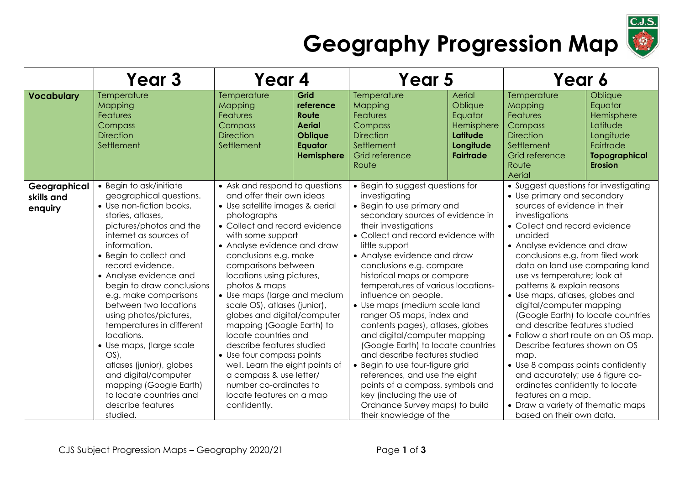

## **Geography Progression Map**

|                                       | Year <sub>3</sub>                                                                                                                                                                                                                                                                                                                                                                                                                                                                                                                                                                     | Year 4                                                                                                                                                                                                                                                                                                                                                                                                                                                                                                                                                                                                                                             |                                                                                               | Year 5                                                                                                                                                                                                                                                                                                                                                                                                                                                                                                                                                                                                                                                                                                                                                               |                                                                                         | Year 6                                                                                                                                                                                                                                                                                                                                                                                                                                                                                                                                                                                                                                                                                                                                                           |                                                                                                                  |
|---------------------------------------|---------------------------------------------------------------------------------------------------------------------------------------------------------------------------------------------------------------------------------------------------------------------------------------------------------------------------------------------------------------------------------------------------------------------------------------------------------------------------------------------------------------------------------------------------------------------------------------|----------------------------------------------------------------------------------------------------------------------------------------------------------------------------------------------------------------------------------------------------------------------------------------------------------------------------------------------------------------------------------------------------------------------------------------------------------------------------------------------------------------------------------------------------------------------------------------------------------------------------------------------------|-----------------------------------------------------------------------------------------------|----------------------------------------------------------------------------------------------------------------------------------------------------------------------------------------------------------------------------------------------------------------------------------------------------------------------------------------------------------------------------------------------------------------------------------------------------------------------------------------------------------------------------------------------------------------------------------------------------------------------------------------------------------------------------------------------------------------------------------------------------------------------|-----------------------------------------------------------------------------------------|------------------------------------------------------------------------------------------------------------------------------------------------------------------------------------------------------------------------------------------------------------------------------------------------------------------------------------------------------------------------------------------------------------------------------------------------------------------------------------------------------------------------------------------------------------------------------------------------------------------------------------------------------------------------------------------------------------------------------------------------------------------|------------------------------------------------------------------------------------------------------------------|
| <b>Vocabulary</b>                     | Temperature<br>Mapping<br><b>Features</b><br>Compass<br><b>Direction</b><br>Settlement                                                                                                                                                                                                                                                                                                                                                                                                                                                                                                | Temperature<br>Mapping<br><b>Features</b><br>Compass<br><b>Direction</b><br>Settlement                                                                                                                                                                                                                                                                                                                                                                                                                                                                                                                                                             | Grid<br>reference<br>Route<br><b>Aerial</b><br><b>Oblique</b><br><b>Equator</b><br>Hemisphere | Temperature<br>Mapping<br><b>Features</b><br>Compass<br><b>Direction</b><br>Settlement<br>Grid reference<br>Route                                                                                                                                                                                                                                                                                                                                                                                                                                                                                                                                                                                                                                                    | Aerial<br>Oblique<br>Equator<br>Hemisphere<br>Latitude<br>Longitude<br><b>Fairtrade</b> | Temperature<br>Mapping<br>Features<br>Compass<br><b>Direction</b><br>Settlement<br>Grid reference<br>Route<br>Aerial                                                                                                                                                                                                                                                                                                                                                                                                                                                                                                                                                                                                                                             | Oblique<br>Equator<br>Hemisphere<br>Latitude<br>Longitude<br>Fairtrade<br><b>Topographical</b><br><b>Erosion</b> |
| Geographical<br>skills and<br>enquiry | • Begin to ask/initiate<br>geographical questions.<br>• Use non-fiction books,<br>stories, atlases,<br>pictures/photos and the<br>internet as sources of<br>information.<br>• Begin to collect and<br>record evidence.<br>• Analyse evidence and<br>begin to draw conclusions<br>e.g. make comparisons<br>between two locations<br>using photos/pictures,<br>temperatures in different<br>locations.<br>• Use maps, (large scale<br>$OS$ ),<br>atlases (junior), globes<br>and digital/computer<br>mapping (Google Earth)<br>to locate countries and<br>describe features<br>studied. | • Ask and respond to questions<br>and offer their own ideas<br>• Use satellite images & aerial<br>photographs<br>• Collect and record evidence<br>with some support<br>• Analyse evidence and draw<br>conclusions e.g. make<br>comparisons between<br>locations using pictures,<br>photos & maps<br>• Use maps (large and medium<br>scale OS), atlases (junior),<br>globes and digital/computer<br>mapping (Google Earth) to<br>locate countries and<br>describe features studied<br>• Use four compass points<br>well. Learn the eight points of<br>a compass & use letter/<br>number co-ordinates to<br>locate features on a map<br>confidently. |                                                                                               | • Begin to suggest questions for<br>investigating<br>• Begin to use primary and<br>secondary sources of evidence in<br>their investigations<br>• Collect and record evidence with<br>little support<br>• Analyse evidence and draw<br>conclusions e.g. compare<br>historical maps or compare<br>temperatures of various locations-<br>influence on people.<br>• Use maps (medium scale land<br>ranger OS maps, index and<br>contents pages), atlases, globes<br>and digital/computer mapping<br>(Google Earth) to locate countries<br>and describe features studied<br>• Begin to use four-figure grid<br>references, and use the eight<br>points of a compass, symbols and<br>key (including the use of<br>Ordnance Survey maps) to build<br>their knowledge of the |                                                                                         | • Suggest questions for investigating<br>• Use primary and secondary<br>sources of evidence in their<br>investigations<br>• Collect and record evidence<br>unaided<br>• Analyse evidence and draw<br>conclusions e.g. from filed work<br>data on land use comparing land<br>use vs temperature; look at<br>patterns & explain reasons<br>• Use maps, atlases, globes and<br>digital/computer mapping<br>(Google Earth) to locate countries<br>and describe features studied<br>• Follow a short route on an OS map.<br>Describe features shown on OS<br>map.<br>• Use 8 compass points confidently<br>and accurately; use 6 figure co-<br>ordinates confidently to locate<br>features on a map.<br>• Draw a variety of thematic maps<br>based on their own data. |                                                                                                                  |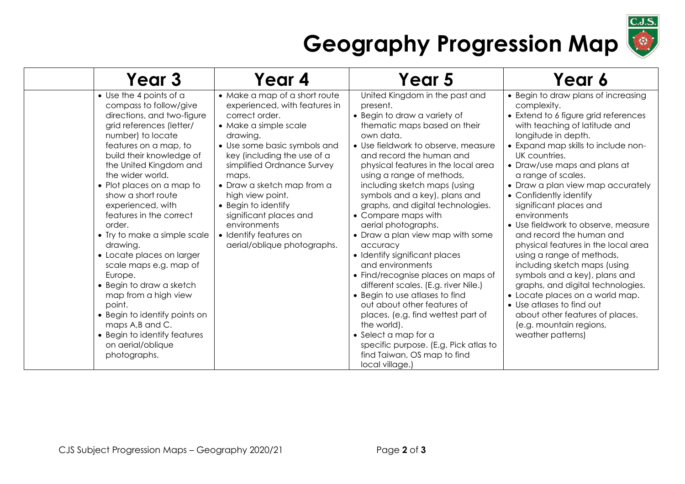

## **Geography Progression Map**

| Year 3                                                                                                                                                                                                                                                                                                                                                                                                                                                                                                                                                                                                                                                        | Year 4                                                                                                                                                                                                                                                                                                                                                                                                  | Year 5                                                                                                                                                                                                                                                                                                                                                                                                                                                                                                                                                                                                                                                                                                                                                                                                                                         | Year 6                                                                                                                                                                                                                                                                                                                                                                                                                                                                                                                                                                                                                                                                                                                                                                    |
|---------------------------------------------------------------------------------------------------------------------------------------------------------------------------------------------------------------------------------------------------------------------------------------------------------------------------------------------------------------------------------------------------------------------------------------------------------------------------------------------------------------------------------------------------------------------------------------------------------------------------------------------------------------|---------------------------------------------------------------------------------------------------------------------------------------------------------------------------------------------------------------------------------------------------------------------------------------------------------------------------------------------------------------------------------------------------------|------------------------------------------------------------------------------------------------------------------------------------------------------------------------------------------------------------------------------------------------------------------------------------------------------------------------------------------------------------------------------------------------------------------------------------------------------------------------------------------------------------------------------------------------------------------------------------------------------------------------------------------------------------------------------------------------------------------------------------------------------------------------------------------------------------------------------------------------|---------------------------------------------------------------------------------------------------------------------------------------------------------------------------------------------------------------------------------------------------------------------------------------------------------------------------------------------------------------------------------------------------------------------------------------------------------------------------------------------------------------------------------------------------------------------------------------------------------------------------------------------------------------------------------------------------------------------------------------------------------------------------|
| $\bullet$ Use the 4 points of a<br>compass to follow/give<br>directions, and two-figure<br>grid references (letter/<br>number) to locate<br>features on a map, to<br>build their knowledge of<br>the United Kingdom and<br>the wider world.<br>• Plot places on a map to<br>show a short route<br>experienced, with<br>features in the correct<br>order.<br>• Try to make a simple scale<br>drawing.<br>• Locate places on larger<br>scale maps e.g. map of<br>Europe.<br>• Begin to draw a sketch<br>map from a high view<br>point.<br>• Begin to identify points on<br>maps A,B and C.<br>• Begin to identify features<br>on aerial/oblique<br>photographs. | • Make a map of a short route<br>experienced, with features in<br>correct order.<br>• Make a simple scale<br>drawing.<br>• Use some basic symbols and<br>key (including the use of a<br>simplified Ordnance Survey<br>maps.<br>• Draw a sketch map from a<br>high view point.<br>• Begin to identify<br>significant places and<br>environments<br>• Identify features on<br>aerial/oblique photographs. | United Kingdom in the past and<br>present.<br>• Begin to draw a variety of<br>thematic maps based on their<br>own data.<br>• Use fieldwork to observe, measure<br>and record the human and<br>physical features in the local area<br>using a range of methods,<br>including sketch maps (using<br>symbols and a key), plans and<br>graphs, and digital technologies.<br>• Compare maps with<br>aerial photographs.<br>• Draw a plan view map with some<br>accuracy<br>• Identify significant places<br>and environments<br>• Find/recognise places on maps of<br>different scales. (E.g. river Nile.)<br>• Begin to use atlases to find<br>out about other features of<br>places. (e.g. find wettest part of<br>the world).<br>• Select a map for a<br>specific purpose. (E.g. Pick atlas to<br>find Taiwan, OS map to find<br>local village.) | • Begin to draw plans of increasing<br>complexity.<br>• Extend to 6 figure grid references<br>with teaching of latitude and<br>longitude in depth.<br>• Expand map skills to include non-<br>UK countries.<br>• Draw/use maps and plans at<br>a range of scales.<br>• Draw a plan view map accurately<br>• Confidently identify<br>significant places and<br>environments<br>• Use fieldwork to observe, measure<br>and record the human and<br>physical features in the local area<br>using a range of methods,<br>including sketch maps (using<br>symbols and a key), plans and<br>graphs, and digital technologies.<br>• Locate places on a world map.<br>• Use atlases to find out<br>about other features of places.<br>(e.g. mountain regions,<br>weather patterns) |